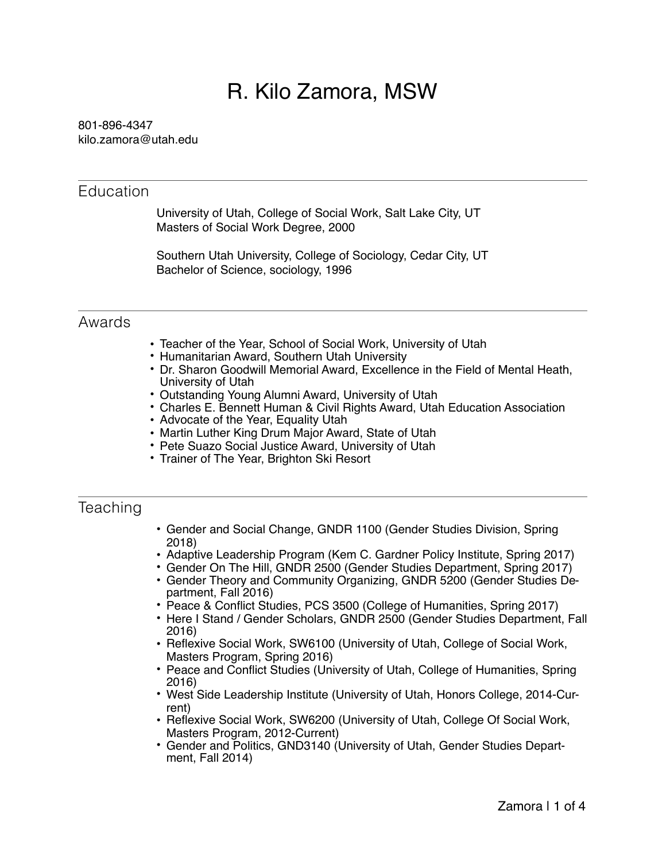# R. Kilo Zamora, MSW

#### 801-896-4347 kilo.zamora@utah.edu

#### **Education**

University of Utah, College of Social Work, Salt Lake City, UT Masters of Social Work Degree, 2000

Southern Utah University, College of Sociology, Cedar City, UT Bachelor of Science, sociology, 1996

#### Awards

- Teacher of the Year, School of Social Work, University of Utah
- Humanitarian Award, Southern Utah University
- Dr. Sharon Goodwill Memorial Award, Excellence in the Field of Mental Heath, University of Utah
- Outstanding Young Alumni Award, University of Utah
- Charles E. Bennett Human & Civil Rights Award, Utah Education Association
- Advocate of the Year, Equality Utah
- Martin Luther King Drum Major Award, State of Utah
- Pete Suazo Social Justice Award, University of Utah
- Trainer of The Year, Brighton Ski Resort

## Teaching

- Gender and Social Change, GNDR 1100 (Gender Studies Division, Spring 2018)
- Adaptive Leadership Program (Kem C. Gardner Policy Institute, Spring 2017)
- Gender On The Hill, GNDR 2500 (Gender Studies Department, Spring 2017)
- Gender Theory and Community Organizing, GNDR 5200 (Gender Studies Department, Fall 2016)
- Peace & Conflict Studies, PCS 3500 (College of Humanities, Spring 2017)
- Here I Stand / Gender Scholars, GNDR 2500 (Gender Studies Department, Fall 2016)
- Reflexive Social Work, SW6100 (University of Utah, College of Social Work, Masters Program, Spring 2016)
- Peace and Conflict Studies (University of Utah, College of Humanities, Spring 2016)
- West Side Leadership Institute (University of Utah, Honors College, 2014-Current)
- Reflexive Social Work, SW6200 (University of Utah, College Of Social Work, Masters Program, 2012-Current)
- Gender and Politics, GND3140 (University of Utah, Gender Studies Depart- ment, Fall 2014)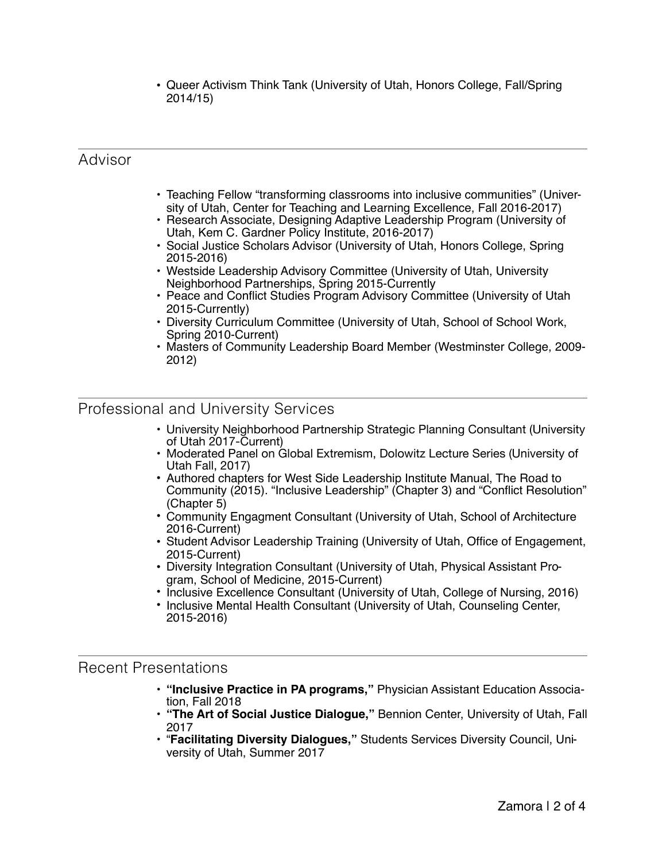• Queer Activism Think Tank (University of Utah, Honors College, Fall/Spring 2014/15)

## Advisor

- Teaching Fellow "transforming classrooms into inclusive communities" (University of Utah, Center for Teaching and Learning Excellence, Fall 2016-2017)
- Research Associate, Designing Adaptive Leadership Program (University of Utah, Kem C. Gardner Policy Institute, 2016-2017)
- Social Justice Scholars Advisor (University of Utah, Honors College, Spring 2015-2016)
- Westside Leadership Advisory Committee (University of Utah, University Neighborhood Partnerships, Spring 2015-Currently
- Peace and Conflict Studies Program Advisory Committee (University of Utah 2015-Currently)
- Diversity Curriculum Committee (University of Utah, School of School Work, Spring 2010-Current)
- Masters of Community Leadership Board Member (Westminster College, 2009- 2012)

### Professional and University Services

- University Neighborhood Partnership Strategic Planning Consultant (University of Utah 2017-Current)
- Moderated Panel on Global Extremism, Dolowitz Lecture Series (University of Utah Fall, 2017)
- Authored chapters for West Side Leadership Institute Manual, The Road to Community (2015). "Inclusive Leadership" (Chapter 3) and "Conflict Resolution" (Chapter 5)
- Community Engagment Consultant (University of Utah, School of Architecture 2016-Current)
- Student Advisor Leadership Training (University of Utah, Office of Engagement, 2015-Current)
- Diversity Integration Consultant (University of Utah, Physical Assistant Program, School of Medicine, 2015-Current)
- Inclusive Excellence Consultant (University of Utah, College of Nursing, 2016)
- Inclusive Mental Health Consultant (University of Utah, Counseling Center, 2015-2016)

#### Recent Presentations

- **"Inclusive Practice in PA programs,"** Physician Assistant Education Association, Fall 2018
- **"The Art of Social Justice Dialogue,"** Bennion Center, University of Utah, Fall 2017
- "**Facilitating Diversity Dialogues,"** Students Services Diversity Council, University of Utah, Summer 2017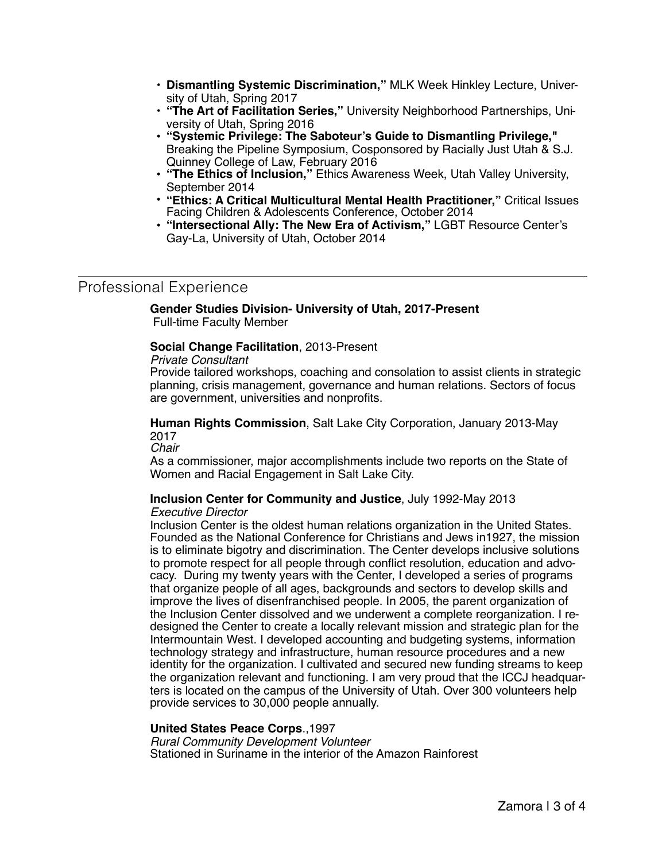- **Dismantling Systemic Discrimination,"** MLK Week Hinkley Lecture, University of Utah, Spring 2017
- **"The Art of Facilitation Series,"** University Neighborhood Partnerships, University of Utah, Spring 2016
- **"Systemic Privilege: The Saboteur's Guide to Dismantling Privilege,"** Breaking the Pipeline Symposium, Cosponsored by Racially Just Utah & S.J. Quinney College of Law, February 2016
- **"The Ethics of Inclusion,"** Ethics Awareness Week, Utah Valley University, September 2014
- **"Ethics: A Critical Multicultural Mental Health Practitioner,"** Critical Issues Facing Children & Adolescents Conference, October 2014
- **"Intersectional Ally: The New Era of Activism,"** LGBT Resource Center's Gay-La, University of Utah, October 2014

## Professional Experience

**Gender Studies Division- University of Utah, 2017-Present**  Full-time Faculty Member

#### **Social Change Facilitation**, 2013-Present

#### *Private Consultant*

Provide tailored workshops, coaching and consolation to assist clients in strategic planning, crisis management, governance and human relations. Sectors of focus are government, universities and nonprofits.

**Human Rights Commission**, Salt Lake City Corporation, January 2013-May 2017

*Chair*

As a commissioner, major accomplishments include two reports on the State of Women and Racial Engagement in Salt Lake City.

## **Inclusion Center for Community and Justice**, July 1992-May 2013

#### *Executive Director*

Inclusion Center is the oldest human relations organization in the United States. Founded as the National Conference for Christians and Jews in1927, the mission is to eliminate bigotry and discrimination. The Center develops inclusive solutions to promote respect for all people through conflict resolution, education and advocacy. During my twenty years with the Center, I developed a series of programs that organize people of all ages, backgrounds and sectors to develop skills and improve the lives of disenfranchised people. In 2005, the parent organization of the Inclusion Center dissolved and we underwent a complete reorganization. I redesigned the Center to create a locally relevant mission and strategic plan for the Intermountain West. I developed accounting and budgeting systems, information technology strategy and infrastructure, human resource procedures and a new identity for the organization. I cultivated and secured new funding streams to keep the organization relevant and functioning. I am very proud that the ICCJ headquarters is located on the campus of the University of Utah. Over 300 volunteers help provide services to 30,000 people annually.

#### **United States Peace Corps**.,1997

*Rural Community Development Volunteer* Stationed in Suriname in the interior of the Amazon Rainforest